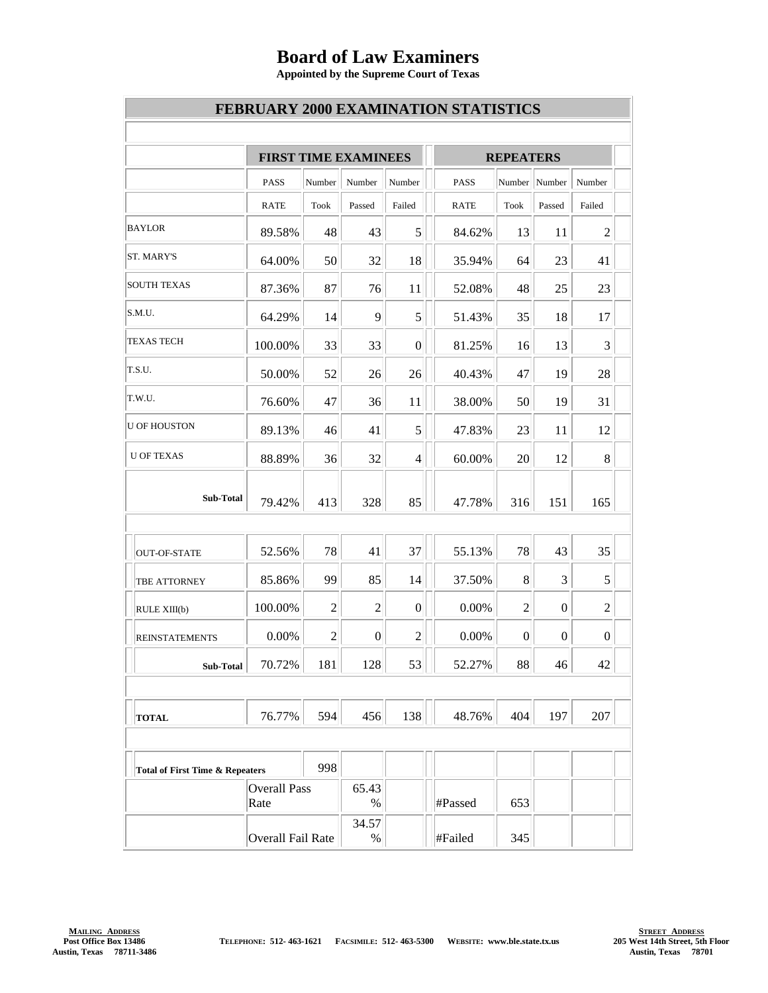## **Board of Law Examiners**

**Appointed by the Supreme Court of Texas**

|                                            |                             |                |                  |                  | <b>FEBRUARY 2000 EXAMINATION STATISTICS</b> |                  |                  |                  |  |
|--------------------------------------------|-----------------------------|----------------|------------------|------------------|---------------------------------------------|------------------|------------------|------------------|--|
|                                            | <b>FIRST TIME EXAMINEES</b> |                |                  |                  |                                             | <b>REPEATERS</b> |                  |                  |  |
|                                            | <b>PASS</b>                 | Number         | Number           | Number           | PASS                                        |                  | Number Number    | Number           |  |
|                                            | RATE                        | Took           | Passed           | Failed           | <b>RATE</b>                                 | Took             | Passed           | Failed           |  |
| <b>BAYLOR</b>                              | 89.58%                      | 48             | 43               | 5                | 84.62%                                      | 13               | 11               | $\overline{2}$   |  |
| ST. MARY'S                                 | 64.00%                      | 50             | 32               | 18               | 35.94%                                      | 64               | 23               | 41               |  |
| <b>SOUTH TEXAS</b>                         | 87.36%                      | 87             | 76               | 11               | 52.08%                                      | 48               | 25               | 23               |  |
| S.M.U.                                     | 64.29%                      | 14             | 9                | 5                | 51.43%                                      | 35               | 18               | 17               |  |
| <b>TEXAS TECH</b>                          | 100.00%                     | 33             | 33               | $\boldsymbol{0}$ | 81.25%                                      | 16               | 13               | $\overline{3}$   |  |
| T.S.U.                                     | 50.00%                      | 52             | 26               | 26               | 40.43%                                      | 47               | 19               | 28               |  |
| T.W.U.                                     | 76.60%                      | 47             | 36               | 11               | 38.00%                                      | 50               | 19               | 31               |  |
| <b>U OF HOUSTON</b>                        | 89.13%                      | 46             | 41               | 5                | 47.83%                                      | 23               | 11               | 12               |  |
| <b>U OF TEXAS</b>                          | 88.89%                      | 36             | 32               | 4                | 60.00%                                      | 20               | 12               | 8                |  |
| Sub-Total                                  | 79.42%                      | 413            | 328              | 85               | 47.78%                                      | 316              | 151              | 165              |  |
| OUT-OF-STATE                               | 52.56%                      | 78             | 41               | 37               | 55.13%                                      | 78               | 43               | 35               |  |
| <b>TBE ATTORNEY</b>                        | 85.86%                      | 99             | 85               | 14               | 37.50%                                      | 8                | 3                | 5                |  |
| RULE XIII(b)                               | 100.00%                     | $\mathbf{2}$   | $\overline{2}$   | $\boldsymbol{0}$ | 0.00%                                       | $\overline{2}$   | $\boldsymbol{0}$ | $\overline{2}$   |  |
| <b>REINSTATEMENTS</b>                      | 0.00%                       | $\overline{c}$ | $\boldsymbol{0}$ | $\boldsymbol{2}$ | 0.00%                                       | $\boldsymbol{0}$ | $\overline{0}$   | $\boldsymbol{0}$ |  |
| Sub-Total                                  | 70.72%                      | 181            | 128              | 53               | 52.27%                                      | 88               | 46               | 42               |  |
| <b>TOTAL</b>                               | 76.77%                      | 594            | 456              | 138              | 48.76%                                      | 404              | 197              | 207              |  |
|                                            |                             |                |                  |                  |                                             |                  |                  |                  |  |
| <b>Total of First Time &amp; Repeaters</b> |                             | 998            |                  |                  |                                             |                  |                  |                  |  |
|                                            | <b>Overall Pass</b><br>Rate |                | 65.43<br>$\%$    |                  | #Passed                                     | 653              |                  |                  |  |
|                                            | Overall Fail Rate           |                | 34.57<br>%       |                  | #Failed                                     | 345              |                  |                  |  |